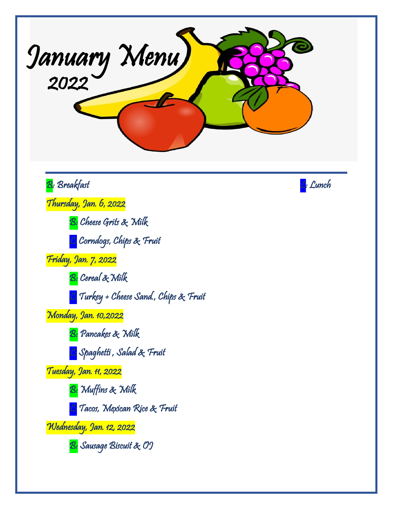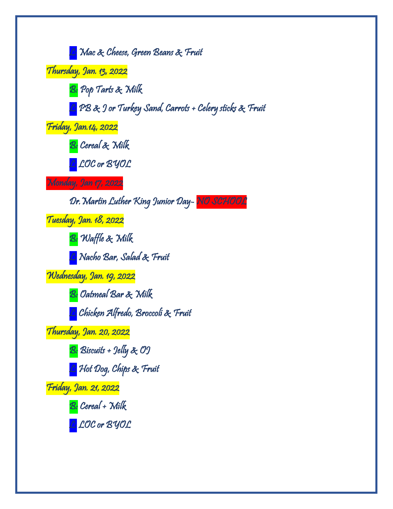<mark>C:</mark> Mac & Cheese, Green Beans & Fruit Thursday, Jan. 13, 2022 B: Pop Tarts & Wilk L: PB & J or Turkey Sand, Carrots + Celery sticks & Fruit Friday, Jan.14, 2022 B: Cereal & Milk L: LOC or BYOL Monday, Jan 17, 2022 Dr.Martin Luther King Junior Day- NO SCHOOL Tuesday, Jan. 18, 2022 B: Waffle & Milk L: Nacho Bar, Salad & Fruit Wednesday, Jan. 19, 2022 <mark>B:</mark> Oatmeal Bar & Milk L: Chicken Alfredo, Broccoli & Fruit Thursday, Jan. 20, 2022 B: Biscuits + Jelly & OJ <mark>L:</mark> Hot Dog, Chips & Fruit Friday, Jan. 21, 2022 B: Cereal + Milk <mark>C:</mark> LOC or BYOL